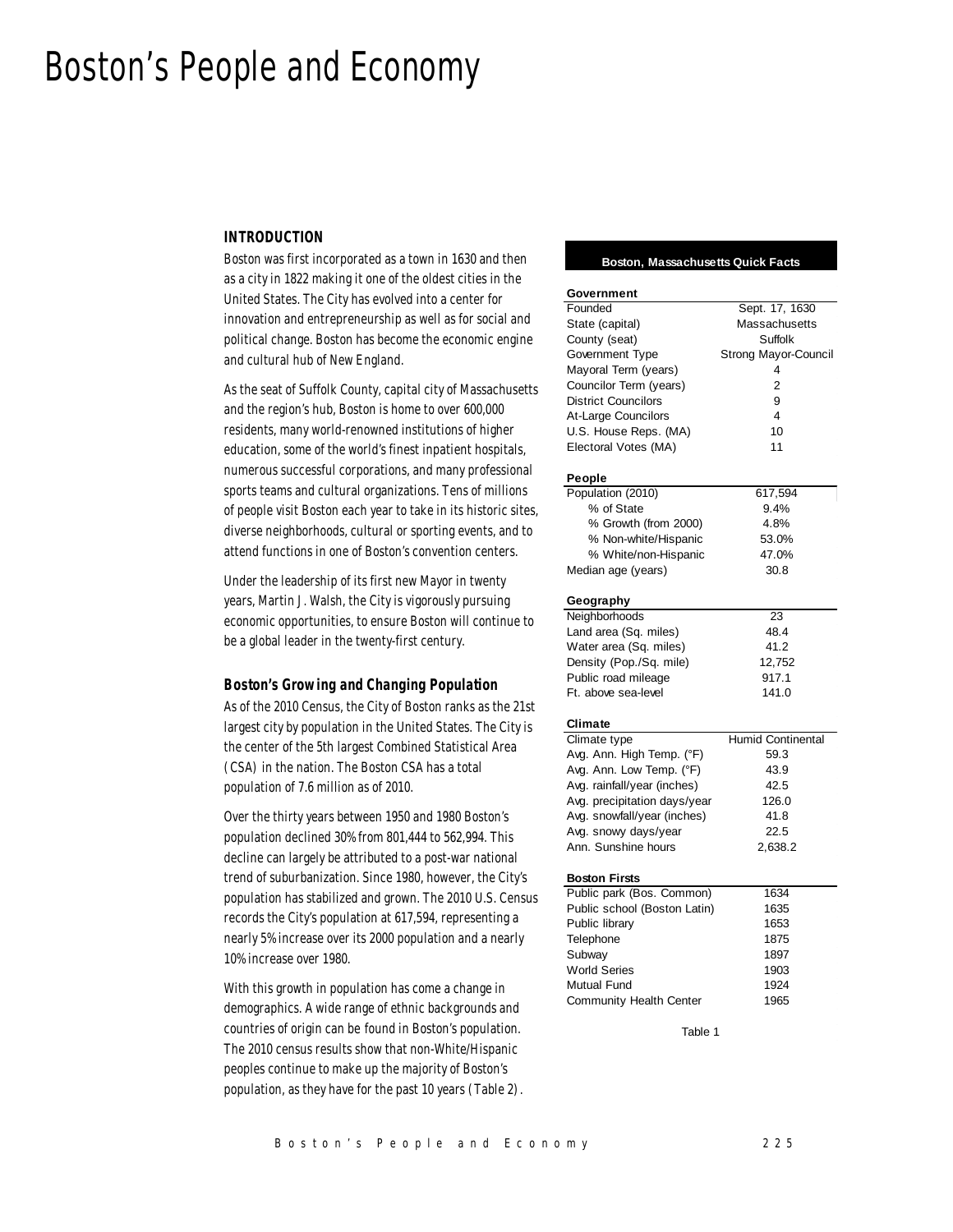# Boston's People and Economy

## *INTRODUCTION*

Boston was first incorporated as a town in 1630 and then as a city in 1822 making it one of the oldest cities in the United States. The City has evolved into a center for innovation and entrepreneurship as well as for social and political change. Boston has become the economic engine and cultural hub of New England.

As the seat of Suffolk County, capital city of Massachusetts and the region's hub, Boston is home to over 600,000 residents, many world-renowned institutions of higher education, some of the world's finest inpatient hospitals, numerous successful corporations, and many professional sports teams and cultural organizations. Tens of millions of people visit Boston each year to take in its historic sites, diverse neighborhoods, cultural or sporting events, and to attend functions in one of Boston's convention centers.

Under the leadership of its first new Mayor in twenty years, Martin J. Walsh, the City is vigorously pursuing economic opportunities, to ensure Boston will continue to be a global leader in the twenty-first century.

## *Boston's Growing and Changing Population*

As of the 2010 Census, the City of Boston ranks as the 21st largest city by population in the United States. The City is the center of the 5th largest Combined Statistical Area (CSA) in the nation. The Boston CSA has a total population of 7.6 million as of 2010.

Over the thirty years between 1950 and 1980 Boston's population declined 30% from 801,444 to 562,994. This decline can largely be attributed to a post-war national trend of suburbanization. Since 1980, however, the City's population has stabilized and grown. The 2010 U.S. Census records the City's population at 617,594, representing a nearly 5% increase over its 2000 population and a nearly 10% increase over 1980.

With this growth in population has come a change in demographics. A wide range of ethnic backgrounds and countries of origin can be found in Boston's population. The 2010 census results show that non-White/Hispanic peoples continue to make up the majority of Boston's population, as they have for the past 10 years (Table 2).

## **Boston, Massachusetts Quick Facts**

| Government                   |                          |  |  |  |
|------------------------------|--------------------------|--|--|--|
| Founded                      | Sept. 17, 1630           |  |  |  |
| State (capital)              | Massachusetts            |  |  |  |
| County (seat)                | Suffolk                  |  |  |  |
| Government Type              | Strong Mayor-Council     |  |  |  |
| Mayoral Term (years)         | 4                        |  |  |  |
| Councilor Term (years)       | $\overline{2}$           |  |  |  |
| <b>District Councilors</b>   | 9                        |  |  |  |
|                              | 4                        |  |  |  |
| At-Large Councilors          |                          |  |  |  |
| U.S. House Reps. (MA)        | 10                       |  |  |  |
| Electoral Votes (MA)         | 11                       |  |  |  |
| People                       |                          |  |  |  |
| Population (2010)            | 617,594                  |  |  |  |
| % of State                   | 9.4%                     |  |  |  |
| % Growth (from 2000)         | 4.8%                     |  |  |  |
| % Non-white/Hispanic         | 53.0%                    |  |  |  |
| % White/non-Hispanic         | 47.0%                    |  |  |  |
| Median age (years)           | 30.8                     |  |  |  |
|                              |                          |  |  |  |
| Geography                    |                          |  |  |  |
| Neighborhoods                | 23                       |  |  |  |
| Land area (Sq. miles)        | 48.4                     |  |  |  |
| Water area (Sq. miles)       | 41.2                     |  |  |  |
| Density (Pop./Sq. mile)      | 12,752                   |  |  |  |
| Public road mileage          | 917.1                    |  |  |  |
| Ft. above sea-level          | 141.0                    |  |  |  |
| Climate                      |                          |  |  |  |
| Climate type                 | <b>Humid Continental</b> |  |  |  |
| Avg. Ann. High Temp. (°F)    | 59.3                     |  |  |  |
| Avg. Ann. Low Temp. (°F)     | 43.9                     |  |  |  |
|                              |                          |  |  |  |
| Avg. rainfall/year (inches)  | 42.5                     |  |  |  |
| Avg. precipitation days/year | 126.0                    |  |  |  |
| Avg. snowfall/year (inches)  | 41.8                     |  |  |  |
| Avg. snowy days/year         | 22.5                     |  |  |  |
| Ann. Sunshine hours          | 2,638.2                  |  |  |  |
| <b>Boston Firsts</b>         |                          |  |  |  |
| Public park (Bos. Common)    | 1634                     |  |  |  |
| Public school (Boston Latin) | 1635                     |  |  |  |
| Public library               | 1653                     |  |  |  |
| Telephone                    | 1875                     |  |  |  |
| Subway                       | 1897                     |  |  |  |
| <b>World Series</b>          | 1903                     |  |  |  |
|                              |                          |  |  |  |
| <b>Mutual Fund</b>           | 1924                     |  |  |  |
| Community Health Center      | 1965                     |  |  |  |
| Table 1                      |                          |  |  |  |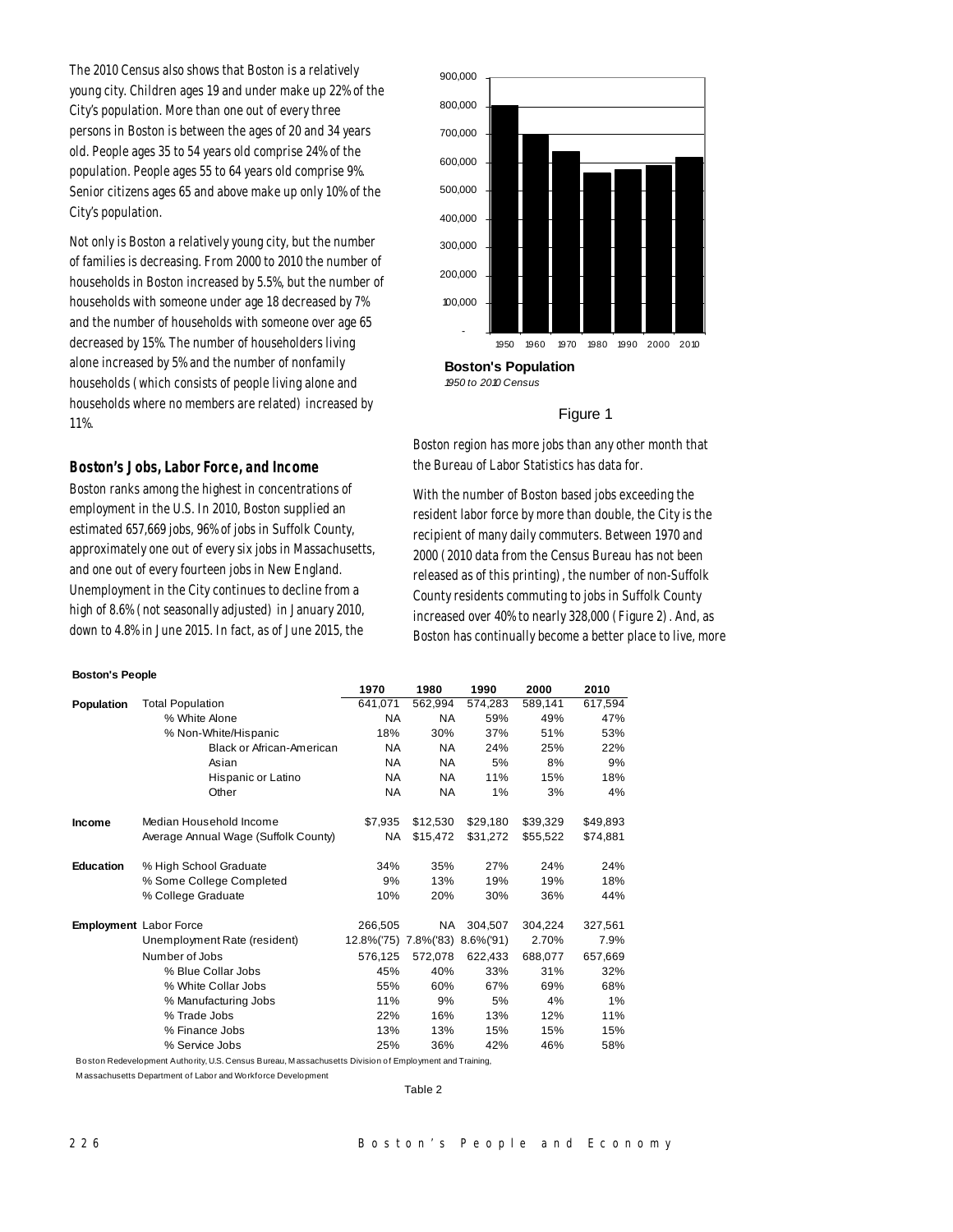The 2010 Census also shows that Boston is a relatively young city. Children ages 19 and under make up 22% of the City's population. More than one out of every three persons in Boston is between the ages of 20 and 34 years old. People ages 35 to 54 years old comprise 24% of the population. People ages 55 to 64 years old comprise 9%. Senior citizens ages 65 and above make up only 10% of the City's population.

Not only is Boston a relatively young city, but the number of families is decreasing. From 2000 to 2010 the number of households in Boston increased by 5.5%, but the number of households with someone under age 18 decreased by 7% and the number of households with someone over age 65 decreased by 15%. The number of householders living alone increased by 5% and the number of nonfamily households (which consists of people living alone and households where no members are related) increased by 11%.

## *Boston's Jobs, Labor Force, and Income*

Boston ranks among the highest in concentrations of employment in the U.S. In 2010, Boston supplied an estimated 657,669 jobs, 96% of jobs in Suffolk County, approximately one out of every six jobs in Massachusetts, and one out of every fourteen jobs in New England. Unemployment in the City continues to decline from a high of 8.6% (not seasonally adjusted) in January 2010, down to 4.8% in June 2015. In fact, as of June 2015, the

#### **Boston's People**



## Figure 1

Boston region has more jobs than any other month that the Bureau of Labor Statistics has data for.

With the number of Boston based jobs exceeding the resident labor force by more than double, the City is the recipient of many daily commuters. Between 1970 and 2000 (2010 data from the Census Bureau has not been released as of this printing), the number of non-Suffolk County residents commuting to jobs in Suffolk County increased over 40% to nearly 328,000 (Figure 2). And, as Boston has continually become a better place to live, more

|                  |                                      | 1970                        | 1980      | 1990     | 2000     | 2010     |
|------------------|--------------------------------------|-----------------------------|-----------|----------|----------|----------|
| Population       | <b>Total Population</b>              | 641,071                     | 562,994   | 574,283  | 589,141  | 617,594  |
|                  | % White Alone                        | <b>NA</b>                   | <b>NA</b> | 59%      | 49%      | 47%      |
|                  | % Non-White/Hispanic                 | 18%                         | 30%       | 37%      | 51%      | 53%      |
|                  | <b>Black or African-American</b>     | NA                          | <b>NA</b> | 24%      | 25%      | 22%      |
|                  | Asian                                | <b>NA</b>                   | <b>NA</b> | 5%       | 8%       | 9%       |
|                  | Hispanic or Latino                   | <b>NA</b>                   | NA.       | 11%      | 15%      | 18%      |
|                  | Other                                | NA                          | <b>NA</b> | 1%       | 3%       | 4%       |
| <b>Income</b>    | Median Household Income              | \$7,935                     | \$12,530  | \$29,180 | \$39,329 | \$49,893 |
|                  | Average Annual Wage (Suffolk County) | NA.                         | \$15,472  | \$31,272 | \$55,522 | \$74,881 |
| <b>Education</b> | % High School Graduate               | 34%                         | 35%       | 27%      | 24%      | 24%      |
|                  | % Some College Completed             | 9%                          | 13%       | 19%      | 19%      | 18%      |
|                  | % College Graduate                   | 10%                         | 20%       | 30%      | 36%      | 44%      |
|                  | Employment Labor Force               | 266.505                     | <b>NA</b> | 304.507  | 304.224  | 327,561  |
|                  | Unemployment Rate (resident)         | 12.8%(75) 7.8%(83) 8.6%(91) |           |          | 2.70%    | 7.9%     |
|                  | Number of Jobs                       | 576.125                     | 572,078   | 622,433  | 688,077  | 657,669  |
|                  | % Blue Collar Jobs                   | 45%                         | 40%       | 33%      | 31%      | 32%      |
|                  | % White Collar Jobs                  | 55%                         | 60%       | 67%      | 69%      | 68%      |
|                  | % Manufacturing Jobs                 | 11%                         | 9%        | 5%       | 4%       | 1%       |
|                  | % Trade Jobs                         | 22%                         | 16%       | 13%      | 12%      | 11%      |
|                  | % Finance Jobs                       | 13%                         | 13%       | 15%      | 15%      | 15%      |
|                  | % Service Jobs                       | 25%                         | 36%       | 42%      | 46%      | 58%      |

Boston Redevelopment Authority, U.S. Census Bureau, M assachusetts Division of Employment and Training,

M assachusetts Department of Labor and Workforce Development

Table 2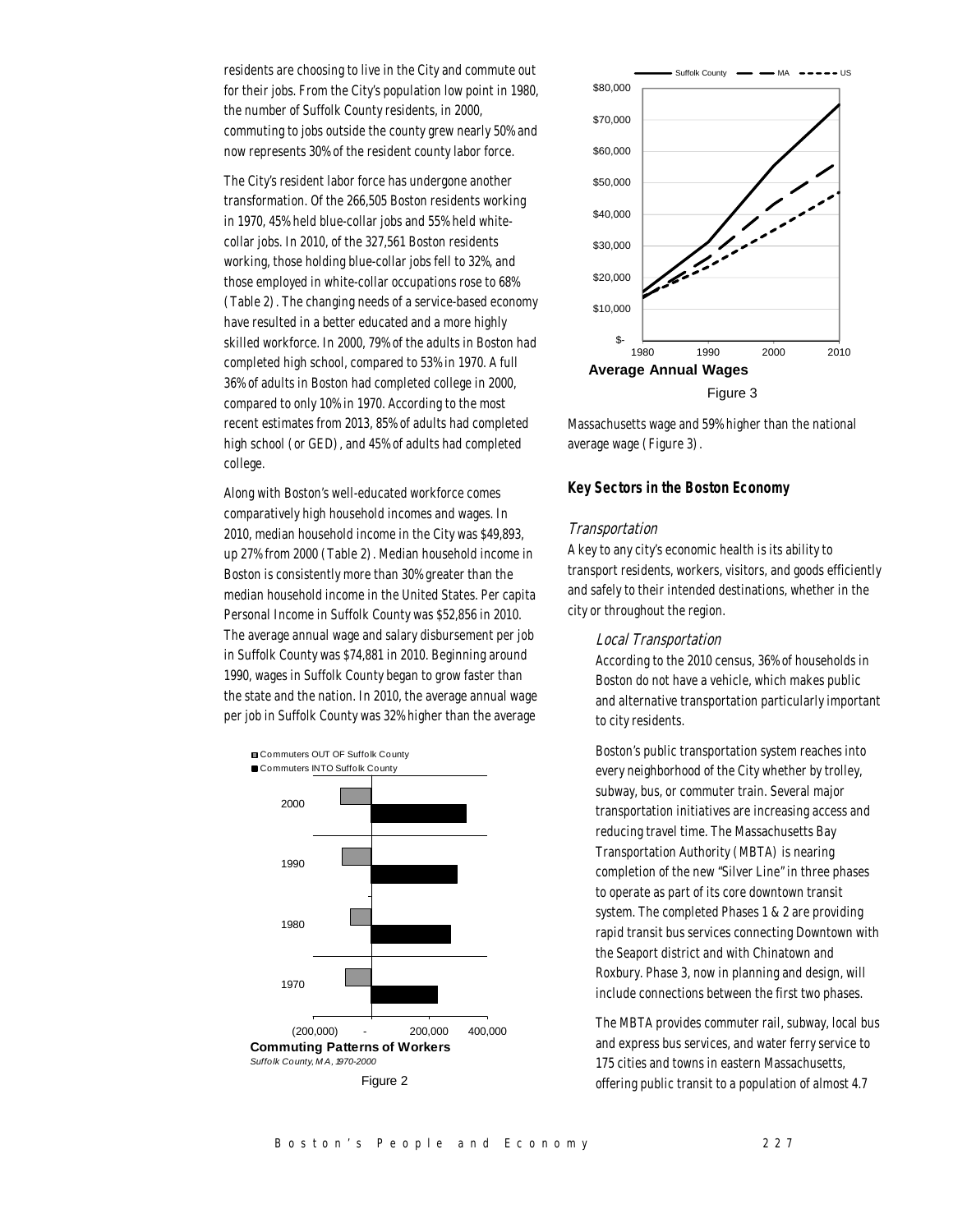residents are choosing to live in the City and commute out for their jobs. From the City's population low point in 1980, the number of Suffolk County residents, in 2000, commuting to jobs outside the county grew nearly 50% and now represents 30% of the resident county labor force.

The City's resident labor force has undergone another transformation. Of the 266,505 Boston residents working in 1970, 45% held blue-collar jobs and 55% held whitecollar jobs. In 2010, of the 327,561 Boston residents working, those holding blue-collar jobs fell to 32%, and those employed in white-collar occupations rose to 68% (Table 2). The changing needs of a service-based economy have resulted in a better educated and a more highly skilled workforce. In 2000, 79% of the adults in Boston had completed high school, compared to 53% in 1970. A full 36% of adults in Boston had completed college in 2000, compared to only 10% in 1970. According to the most recent estimates from 2013, 85% of adults had completed high school (or GED), and 45% of adults had completed college.

Along with Boston's well-educated workforce comes comparatively high household incomes and wages. In 2010, median household income in the City was \$49,893, up 27% from 2000 (Table 2). Median household income in Boston is consistently more than 30% greater than the median household income in the United States. Per capita Personal Income in Suffolk County was \$52,856 in 2010. The average annual wage and salary disbursement per job in Suffolk County was \$74,881 in 2010. Beginning around 1990, wages in Suffolk County began to grow faster than the state and the nation. In 2010, the average annual wage per job in Suffolk County was 32% higher than the average





Massachusetts wage and 59% higher than the national average wage (Figure 3).

# *Key Sectors in the Boston Economy*

## Transportation

A key to any city's economic health is its ability to transport residents, workers, visitors, and goods efficiently and safely to their intended destinations, whether in the city or throughout the region.

## Local Transportation

According to the 2010 census, 36% of households in Boston do not have a vehicle, which makes public and alternative transportation particularly important to city residents.

Boston's public transportation system reaches into every neighborhood of the City whether by trolley, subway, bus, or commuter train. Several major transportation initiatives are increasing access and reducing travel time. The Massachusetts Bay Transportation Authority (MBTA) is nearing completion of the new "Silver Line" in three phases to operate as part of its core downtown transit system. The completed Phases 1 & 2 are providing rapid transit bus services connecting Downtown with the Seaport district and with Chinatown and Roxbury. Phase 3, now in planning and design, will include connections between the first two phases.

The MBTA provides commuter rail, subway, local bus and express bus services, and water ferry service to 175 cities and towns in eastern Massachusetts, offering public transit to a population of almost 4.7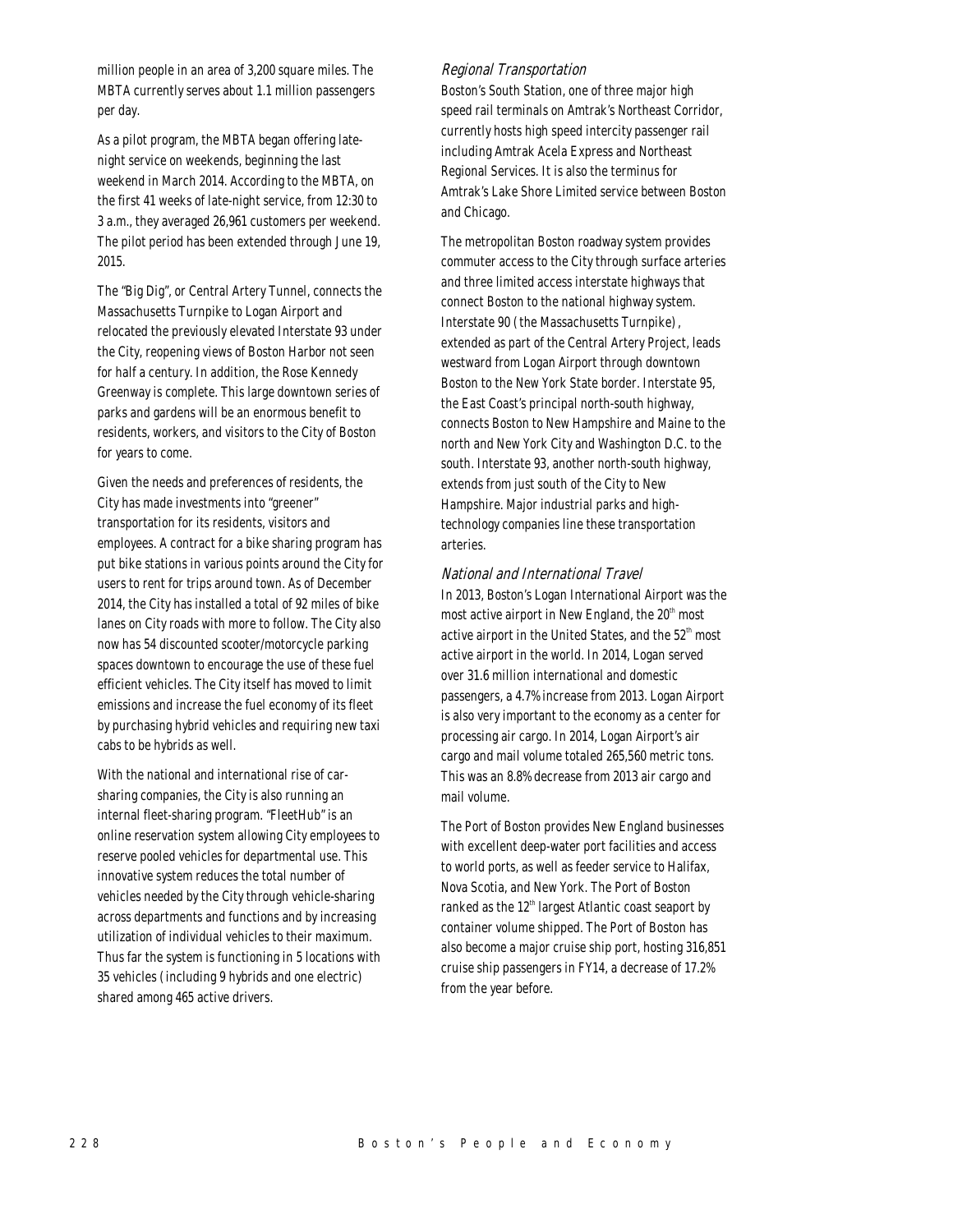million people in an area of 3,200 square miles. The MBTA currently serves about 1.1 million passengers per day.

As a pilot program, the MBTA began offering latenight service on weekends, beginning the last weekend in March 2014. According to the MBTA, on the first 41 weeks of late-night service, from 12:30 to 3 a.m., they averaged 26,961 customers per weekend. The pilot period has been extended through June 19, 2015.

The "Big Dig", or Central Artery Tunnel, connects the Massachusetts Turnpike to Logan Airport and relocated the previously elevated Interstate 93 under the City, reopening views of Boston Harbor not seen for half a century. In addition, the Rose Kennedy Greenway is complete. This large downtown series of parks and gardens will be an enormous benefit to residents, workers, and visitors to the City of Boston for years to come.

Given the needs and preferences of residents, the City has made investments into "greener" transportation for its residents, visitors and employees. A contract for a bike sharing program has put bike stations in various points around the City for users to rent for trips around town. As of December 2014, the City has installed a total of 92 miles of bike lanes on City roads with more to follow. The City also now has 54 discounted scooter/motorcycle parking spaces downtown to encourage the use of these fuel efficient vehicles. The City itself has moved to limit emissions and increase the fuel economy of its fleet by purchasing hybrid vehicles and requiring new taxi cabs to be hybrids as well.

With the national and international rise of carsharing companies, the City is also running an internal fleet-sharing program. "FleetHub" is an online reservation system allowing City employees to reserve pooled vehicles for departmental use. This innovative system reduces the total number of vehicles needed by the City through vehicle-sharing across departments and functions and by increasing utilization of individual vehicles to their maximum. Thus far the system is functioning in 5 locations with 35 vehicles (including 9 hybrids and one electric) shared among 465 active drivers.

## Regional Transportation

Boston's South Station, one of three major high speed rail terminals on Amtrak's Northeast Corridor, currently hosts high speed intercity passenger rail including Amtrak Acela Express and Northeast Regional Services. It is also the terminus for Amtrak's Lake Shore Limited service between Boston and Chicago.

The metropolitan Boston roadway system provides commuter access to the City through surface arteries and three limited access interstate highways that connect Boston to the national highway system. Interstate 90 (the Massachusetts Turnpike), extended as part of the Central Artery Project, leads westward from Logan Airport through downtown Boston to the New York State border. Interstate 95, the East Coast's principal north-south highway, connects Boston to New Hampshire and Maine to the north and New York City and Washington D.C. to the south. Interstate 93, another north-south highway, extends from just south of the City to New Hampshire. Major industrial parks and hightechnology companies line these transportation arteries.

## National and International Travel

In 2013, Boston's Logan International Airport was the most active airport in New England, the  $20<sup>th</sup>$  most active airport in the United States, and the  $52<sup>th</sup>$  most active airport in the world. In 2014, Logan served over 31.6 million international and domestic passengers, a 4.7% increase from 2013. Logan Airport is also very important to the economy as a center for processing air cargo. In 2014, Logan Airport's air cargo and mail volume totaled 265,560 metric tons. This was an 8.8% decrease from 2013 air cargo and mail volume.

The Port of Boston provides New England businesses with excellent deep-water port facilities and access to world ports, as well as feeder service to Halifax, Nova Scotia, and New York. The Port of Boston ranked as the  $12<sup>th</sup>$  largest Atlantic coast seaport by container volume shipped. The Port of Boston has also become a major cruise ship port, hosting 316,851 cruise ship passengers in FY14, a decrease of 17.2% from the year before.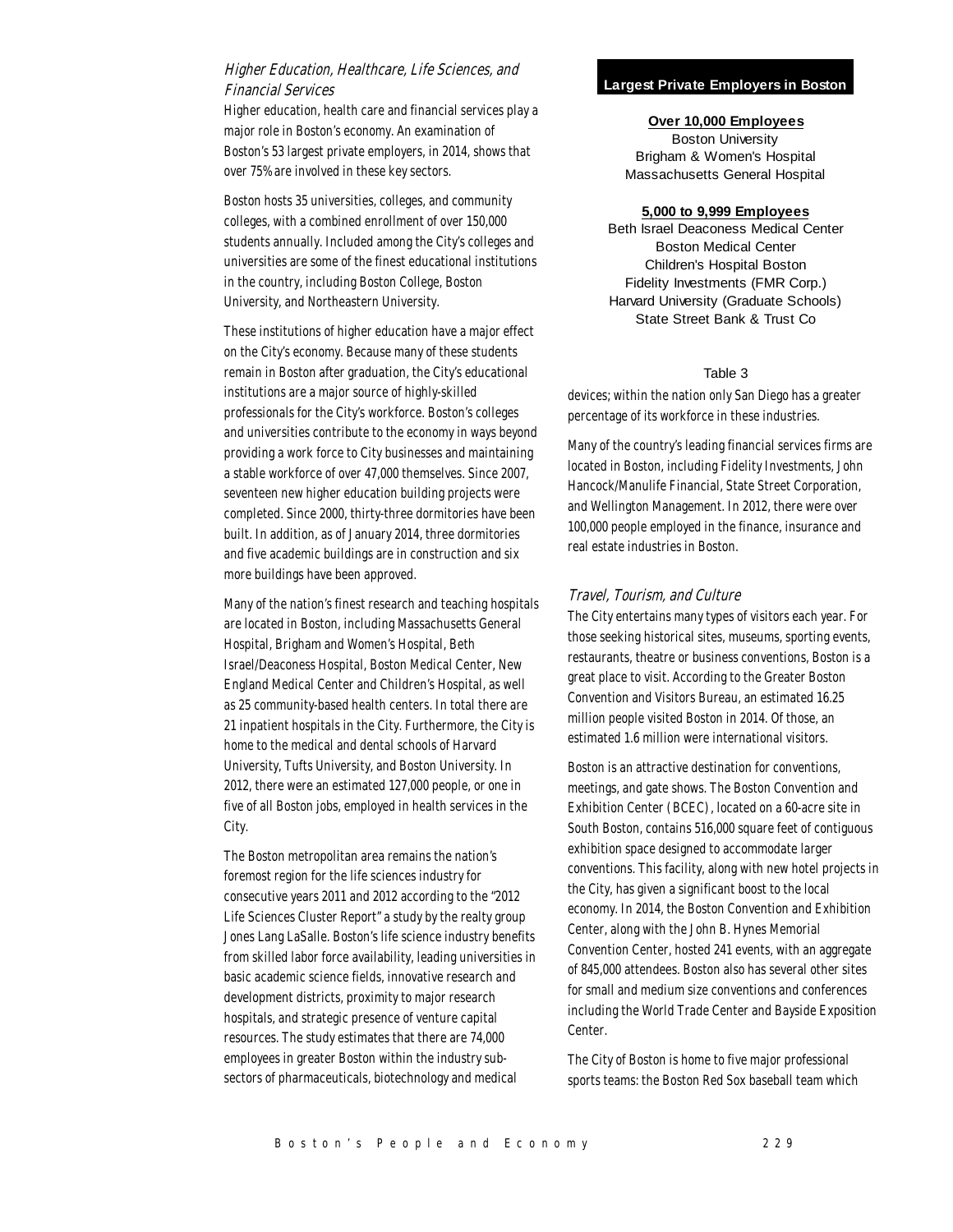# Higher Education, Healthcare, Life Sciences, and Financial Services

Higher education, health care and financial services play a major role in Boston's economy. An examination of Boston's 53 largest private employers, in 2014, shows that over 75% are involved in these key sectors.

Boston hosts 35 universities, colleges, and community colleges, with a combined enrollment of over 150,000 students annually. Included among the City's colleges and universities are some of the finest educational institutions in the country, including Boston College, Boston University, and Northeastern University.

These institutions of higher education have a major effect on the City's economy. Because many of these students remain in Boston after graduation, the City's educational institutions are a major source of highly-skilled professionals for the City's workforce. Boston's colleges and universities contribute to the economy in ways beyond providing a work force to City businesses and maintaining a stable workforce of over 47,000 themselves. Since 2007, seventeen new higher education building projects were completed. Since 2000, thirty-three dormitories have been built. In addition, as of January 2014, three dormitories and five academic buildings are in construction and six more buildings have been approved.

Many of the nation's finest research and teaching hospitals are located in Boston, including Massachusetts General Hospital, Brigham and Women's Hospital, Beth Israel/Deaconess Hospital, Boston Medical Center, New England Medical Center and Children's Hospital, as well as 25 community-based health centers. In total there are 21 inpatient hospitals in the City. Furthermore, the City is home to the medical and dental schools of Harvard University, Tufts University, and Boston University. In 2012, there were an estimated 127,000 people, or one in five of all Boston jobs, employed in health services in the City.

The Boston metropolitan area remains the nation's foremost region for the life sciences industry for consecutive years 2011 and 2012 according to the "2012 Life Sciences Cluster Report" a study by the realty group Jones Lang LaSalle. Boston's life science industry benefits from skilled labor force availability, leading universities in basic academic science fields, innovative research and development districts, proximity to major research hospitals, and strategic presence of venture capital resources. The study estimates that there are 74,000 employees in greater Boston within the industry subsectors of pharmaceuticals, biotechnology and medical

## **Largest Private Employers in Boston**

**Over 10,000 Employees** Boston University Brigham & Women's Hospital Massachusetts General Hospital

## **5,000 to 9,999 Employees**

Beth Israel Deaconess Medical Center Boston Medical Center Children's Hospital Boston Fidelity Investments (FMR Corp.) Harvard University (Graduate Schools) State Street Bank & Trust Co

## Table 3

devices; within the nation only San Diego has a greater percentage of its workforce in these industries.

Many of the country's leading financial services firms are located in Boston, including Fidelity Investments, John Hancock/Manulife Financial, State Street Corporation, and Wellington Management. In 2012, there were over 100,000 people employed in the finance, insurance and real estate industries in Boston.

## Travel, Tourism, and Culture

The City entertains many types of visitors each year. For those seeking historical sites, museums, sporting events, restaurants, theatre or business conventions, Boston is a great place to visit. According to the Greater Boston Convention and Visitors Bureau, an estimated 16.25 million people visited Boston in 2014. Of those, an estimated 1.6 million were international visitors.

Boston is an attractive destination for conventions, meetings, and gate shows. The Boston Convention and Exhibition Center (BCEC), located on a 60-acre site in South Boston, contains 516,000 square feet of contiguous exhibition space designed to accommodate larger conventions. This facility, along with new hotel projects in the City, has given a significant boost to the local economy. In 2014, the Boston Convention and Exhibition Center, along with the John B. Hynes Memorial Convention Center, hosted 241 events, with an aggregate of 845,000 attendees. Boston also has several other sites for small and medium size conventions and conferences including the World Trade Center and Bayside Exposition Center.

The City of Boston is home to five major professional sports teams: the Boston Red Sox baseball team which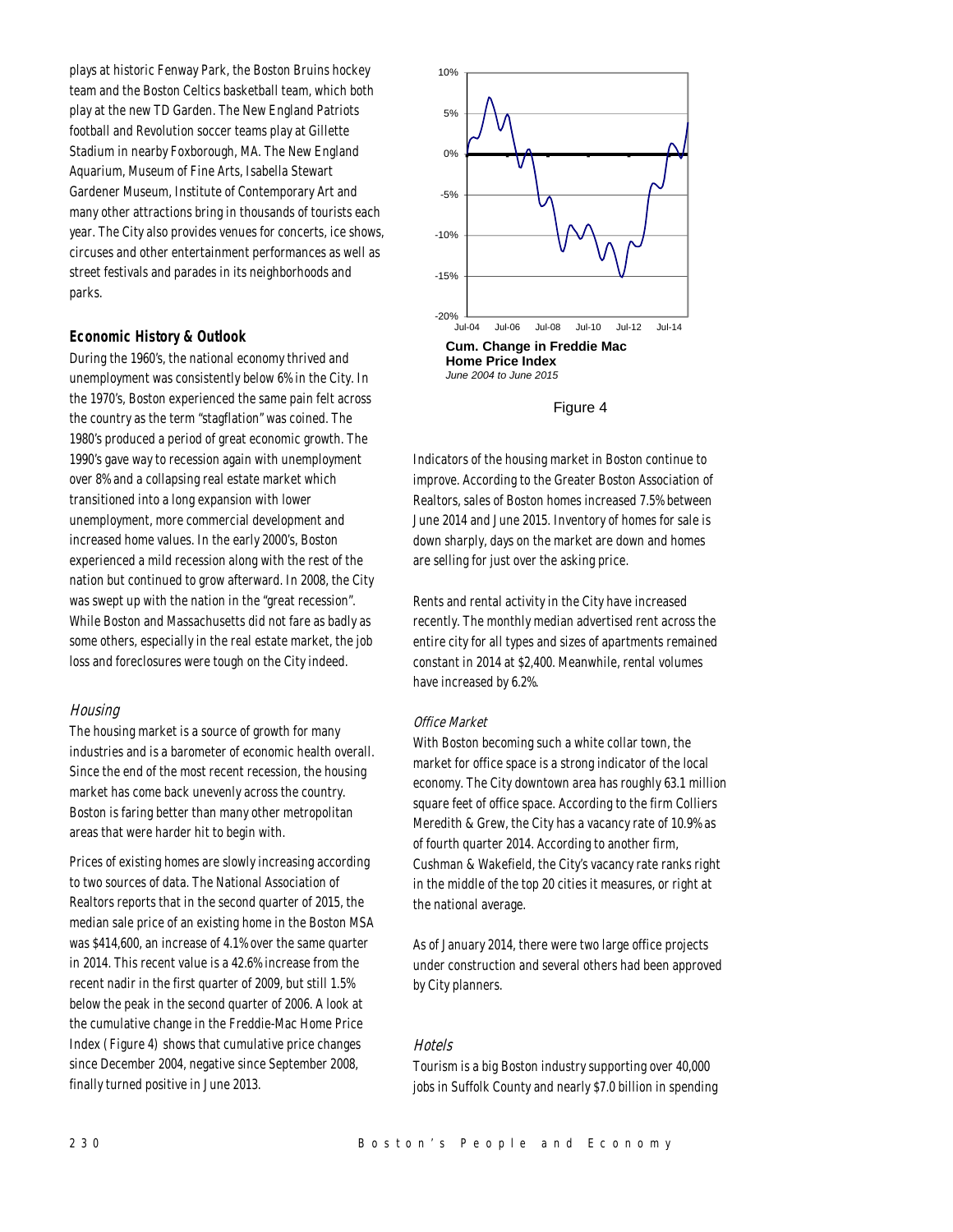plays at historic Fenway Park, the Boston Bruins hockey team and the Boston Celtics basketball team, which both play at the new TD Garden. The New England Patriots football and Revolution soccer teams play at Gillette Stadium in nearby Foxborough, MA. The New England Aquarium, Museum of Fine Arts, Isabella Stewart Gardener Museum, Institute of Contemporary Art and many other attractions bring in thousands of tourists each year. The City also provides venues for concerts, ice shows, circuses and other entertainment performances as well as street festivals and parades in its neighborhoods and parks.

# *Economic History & Outlook*

During the 1960's, the national economy thrived and unemployment was consistently below 6% in the City. In the 1970's, Boston experienced the same pain felt across the country as the term "stagflation" was coined. The 1980's produced a period of great economic growth. The 1990's gave way to recession again with unemployment over 8% and a collapsing real estate market which transitioned into a long expansion with lower unemployment, more commercial development and increased home values. In the early 2000's, Boston experienced a mild recession along with the rest of the nation but continued to grow afterward. In 2008, the City was swept up with the nation in the "great recession". While Boston and Massachusetts did not fare as badly as some others, especially in the real estate market, the job loss and foreclosures were tough on the City indeed.

## Housing

The housing market is a source of growth for many industries and is a barometer of economic health overall. Since the end of the most recent recession, the housing market has come back unevenly across the country. Boston is faring better than many other metropolitan areas that were harder hit to begin with.

Prices of existing homes are slowly increasing according to two sources of data. The National Association of Realtors reports that in the second quarter of 2015, the median sale price of an existing home in the Boston MSA was \$414,600, an increase of 4.1% over the same quarter in 2014. This recent value is a 42.6% increase from the recent nadir in the first quarter of 2009, but still 1.5% below the peak in the second quarter of 2006. A look at the cumulative change in the Freddie-Mac Home Price Index (Figure 4) shows that cumulative price changes since December 2004, negative since September 2008, finally turned positive in June 2013.



Figure 4

Indicators of the housing market in Boston continue to improve. According to the Greater Boston Association of Realtors, sales of Boston homes increased 7.5% between June 2014 and June 2015. Inventory of homes for sale is down sharply, days on the market are down and homes are selling for just over the asking price.

Rents and rental activity in the City have increased recently. The monthly median advertised rent across the entire city for all types and sizes of apartments remained constant in 2014 at \$2,400. Meanwhile, rental volumes have increased by 6.2%.

## Office Market

With Boston becoming such a white collar town, the market for office space is a strong indicator of the local economy. The City downtown area has roughly 63.1 million square feet of office space. According to the firm Colliers Meredith & Grew, the City has a vacancy rate of 10.9% as of fourth quarter 2014. According to another firm, Cushman & Wakefield, the City's vacancy rate ranks right in the middle of the top 20 cities it measures, or right at the national average.

As of January 2014, there were two large office projects under construction and several others had been approved by City planners.

## Hotels

Tourism is a big Boston industry supporting over 40,000 jobs in Suffolk County and nearly \$7.0 billion in spending